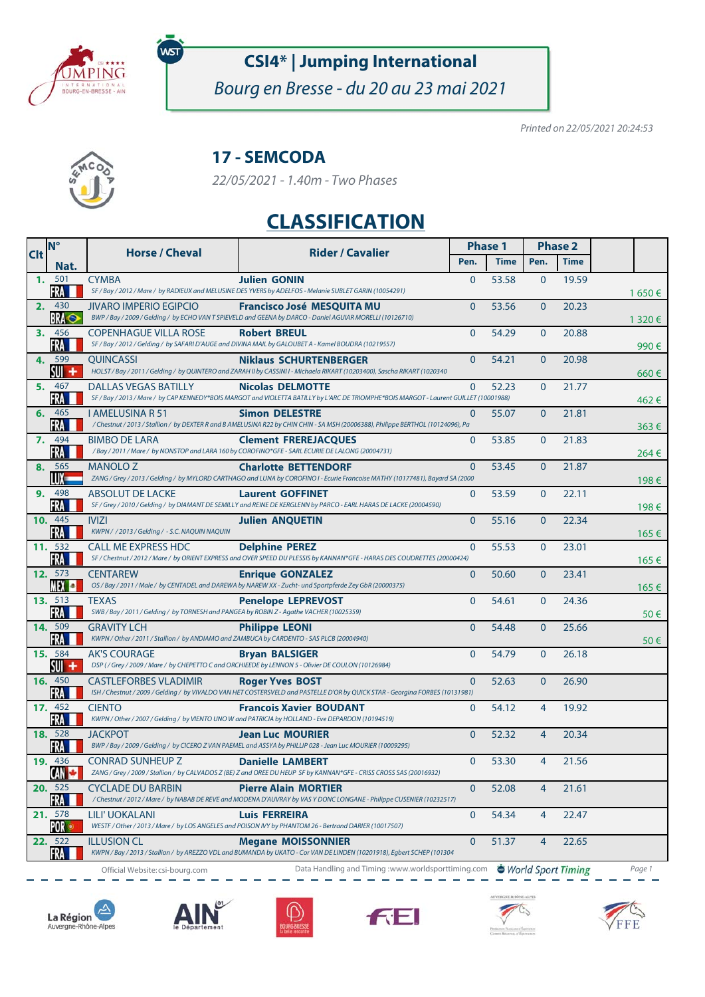

WS

# **CSI4\* | Jumping International**

Bourg en Bresse - du 20 au 23 mai 2021

Printed on 22/05/2021 20:24:53



### **17 - SEMCODA**

22/05/2021 - 1.40m - Two Phases

## **CLASSIFICATION**

| <b>Clt</b> | <b>N°</b>                      | <b>Horse / Cheval</b>                                                                                           | <b>Rider / Cavalier</b>                                                                                                                                           | <b>Phase 1</b> |             | <b>Phase 2</b> |                    |           |
|------------|--------------------------------|-----------------------------------------------------------------------------------------------------------------|-------------------------------------------------------------------------------------------------------------------------------------------------------------------|----------------|-------------|----------------|--------------------|-----------|
|            | Nat.                           |                                                                                                                 |                                                                                                                                                                   | Pen.           | <b>Time</b> | Pen.           | <b>Time</b>        |           |
|            | 1. 501<br>FRA                  | <b>CYMBA</b>                                                                                                    | <b>Julien GONIN</b><br>SF / Bay / 2012 / Mare / by RADIEUX and MELUSINE DES YVERS by ADELFOS - Melanie SUBLET GARIN (10054291)                                    | $\Omega$       | 53.58       | $\mathbf{0}$   | 19.59              | 1 650 €   |
|            | 2. 430<br><b>BRA</b>           | <b>JIVARO IMPERIO EGIPCIO</b>                                                                                   | <b>Francisco José MESQUITA MU</b><br>BWP / Bay / 2009 / Gelding / by ECHO VAN T SPIEVELD and GEENA by DARCO - Daniel AGUIAR MORELLI (10126710)                    | $\Omega$       | 53.56       | $\overline{0}$ | 20.23              | 1 3 2 0 € |
|            | 3. 456<br>FRA                  | <b>COPENHAGUE VILLA ROSE</b>                                                                                    | <b>Robert BREUL</b><br>SF / Bay / 2012 / Gelding / by SAFARI D'AUGE and DIVINA MAIL by GALOUBET A - Kamel BOUDRA (10219557)                                       | $\mathbf{0}$   | 54.29       | $\mathbf{0}$   | 20.88              | 990€      |
|            | 4. 599<br>$SW +$               | <b>OUINCASSI</b>                                                                                                | <b>Niklaus SCHURTENBERGER</b><br>HOLST/Bay/2011/Gelding/by QUINTERO and ZARAH II by CASSINI I - Michaela RIKART (10203400), Sascha RIKART (1020340                | $\mathbf{0}$   | 54.21       | $\mathbf{0}$   | 20.98              | 660€      |
|            | 5. 467<br>FRA                  | <b>DALLAS VEGAS BATILLY</b>                                                                                     | <b>Nicolas DELMOTTE</b><br>SF / Bay / 2013 / Mare / by CAP KENNEDY*BOIS MARGOT and VIOLETTA BATILLY by L'ARC DE TRIOMPHE*BOIS MARGOT - Laurent GUILLET (10001988) | $\mathbf{0}$   | 52.23       | $\mathbf{0}$   | 21.77              | 462€      |
|            | 6. 465<br>FRA I                | <b>I AMELUSINA R 51</b>                                                                                         | <b>Simon DELESTRE</b><br>/ Chestnut / 2013 / Stallion / by DEXTER R and B AMELUSINA R22 by CHIN CHIN - SA MSH (20006388), Philippe BERTHOL (10124096), Pa         | $\mathbf{0}$   | 55.07       | $\overline{0}$ | 21.81              | $363 \in$ |
|            | 7. 494<br>FRA                  | <b>BIMBO DE LARA</b>                                                                                            | <b>Clement FREREJACQUES</b><br>/ Bay / 2011 / Mare / by NONSTOP and LARA 160 by COROFINO*GFE - SARL ECURIE DE LALONG (20004731)                                   | $\mathbf{0}$   | 53.85       | $\mathbf{0}$   | 21.83              | 264€      |
|            | 8. 565<br>LUX —                | <b>MANOLO Z</b>                                                                                                 | <b>Charlotte BETTENDORF</b><br>ZANG / Grey / 2013 / Gelding / by MYLORD CARTHAGO and LUNA by COROFINO I - Ecurie Francoise MATHY (10177481), Bayard SA (2000      | $\mathbf{0}$   | 53.45       | $\mathbf{0}$   | 21.87              | 198€      |
| 9.         | 498<br>FRA                     | <b>ABSOLUT DE LACKE</b>                                                                                         | <b>Laurent GOFFINET</b><br>SF / Grey / 2010 / Gelding / by DIAMANT DE SEMILLY and REINE DE KERGLENN by PARCO - EARL HARAS DE LACKE (20004590)                     | $\mathbf{0}$   | 53.59       | $\mathbf{0}$   | 22.11              | 198€      |
|            | 10. 445<br>FRA I               | <b>IVIZI</b><br>KWPN / / 2013 / Gelding / - S.C. NAQUIN NAQUIN                                                  | <b>Julien ANOUETIN</b>                                                                                                                                            | $\overline{0}$ | 55.16       | $\mathbf{0}$   | 22.34              | 165€      |
|            | 11. 532<br>FRA                 | <b>CALL ME EXPRESS HDC</b>                                                                                      | <b>Delphine PEREZ</b><br>SF / Chestnut / 2012 / Mare / by ORIENT EXPRESS and OVER SPEED DU PLESSIS by KANNAN*GFE - HARAS DES COUDRETTES (20000424)                | $\Omega$       | 55.53       | $\mathbf{0}$   | 23.01              | 165€      |
|            | 12. 573<br><b>MEX OF</b>       | <b>CENTAREW</b>                                                                                                 | <b>Enrique GONZALEZ</b><br>OS / Bay / 2011 / Male / by CENTADEL and DAREWA by NAREW XX - Zucht- und Sportpferde Zey GbR (20000375)                                | $\mathbf{0}$   | 50.60       | $\mathbf{0}$   | 23.41              |           |
|            | 13. 513<br>FRA                 | <b>TEXAS</b><br>SWB / Bay / 2011 / Gelding / by TORNESH and PANGEA by ROBIN Z - Agathe VACHER (10025359)        | <b>Penelope LEPREVOST</b>                                                                                                                                         | $\Omega$       | 54.61       | $\mathbf{0}$   | 24.36              | 165€      |
|            | 14. 509<br>FRA I               | <b>GRAVITY LCH</b><br>KWPN / Other / 2011 / Stallion / by ANDIAMO and ZAMBUCA by CARDENTO - SAS PLCB (20004940) | <b>Philippe LEONI</b>                                                                                                                                             | $\Omega$       | 54.48       | $\mathbf{0}$   | 25.66              | $50 \in$  |
|            | 15. 584<br>$SU +$              | <b>AK'S COURAGE</b>                                                                                             | <b>Bryan BALSIGER</b><br>DSP (/Grey / 2009 / Mare / by CHEPETTO C and ORCHIEEDE by LENNON 5 - Olivier DE COULON (10126984)                                        | $\mathbf{0}$   | 54.79       | $\overline{0}$ | 26.18              | 50€       |
|            | <b>16.</b> 450<br>FRA          | <b>CASTLEFORBES VLADIMIR</b>                                                                                    | <b>Roger Yves BOST</b><br>ISH / Chestnut / 2009 / Gelding / by VIVALDO VAN HET COSTERSVELD and PASTELLE D'OR by QUICK STAR - Georgina FORBES (10131981)           | $\Omega$       | 52.63       | $\overline{0}$ | 26.90              |           |
|            | 17. 452<br><b>FRA</b>          | <b>CIENTO</b>                                                                                                   | <b>Francois Xavier BOUDANT</b><br>KWPN / Other / 2007 / Gelding / by VIENTO UNO W and PATRICIA by HOLLAND - Eve DEPARDON (10194519)                               | $\mathbf{0}$   | 54.12       | $\overline{4}$ | 19.92              |           |
|            | 18. 528<br>FRA                 | <b>JACKPOT</b>                                                                                                  | <b>Jean Luc MOURIER</b><br>BWP / Bay / 2009 / Gelding / by CICERO Z VAN PAEMEL and ASSYA by PHILLIP 028 - Jean Luc MOURIER (10009295)                             | $\overline{0}$ | 52.32       | $\overline{4}$ | 20.34              |           |
|            | 19. 436<br>CAN <mark>Ca</mark> | <b>CONRAD SUNHEUP Z</b>                                                                                         | <b>Danielle LAMBERT</b><br>ZANG / Grey / 2009 / Stallion / by CALVADOS Z (BE) Z and OREE DU HEUP SF by KANNAN*GFE - CRISS CROSS SAS (20016932)                    | $\mathbf{0}$   | 53.30       | $\overline{4}$ | 21.56              |           |
|            | 20. 525<br>FRA                 | <b>CYCLADE DU BARBIN</b>                                                                                        | <b>Pierre Alain MORTIER</b><br>/Chestnut/2012/Mare/ by NABAB DE REVE and MODENA D'AUVRAY by VAS Y DONC LONGANE - Philippe CUSENIER (10232517)                     | $\mathbf{0}$   | 52.08       | 4              | 21.61              |           |
|            | 21. 578<br>POR ®               | LILI' UOKALANI                                                                                                  | <b>Luis FERREIRA</b><br>WESTF / Other / 2013 / Mare / by LOS ANGELES and POISON IVY by PHANTOM 26 - Bertrand DARIER (10017507)                                    | $\mathbf 0$    | 54.34       | 4              | 22.47              |           |
|            | 22. 522<br>FRA                 | <b>ILLUSION CL</b>                                                                                              | <b>Megane MOISSONNIER</b><br>KWPN / Bay / 2013 / Stallion / by AREZZO VDL and BUMANDA by UKATO - Cor VAN DE LINDEN (10201918), Egbert SCHEP (101304               | $\mathbf{0}$   | 51.37       | 4              | 22.65              |           |
|            |                                | Official Website: csi-bourg.com                                                                                 | Data Handling and Timing: www.worldsporttiming.com                                                                                                                |                |             |                | World Sport Timing | Page 1    |











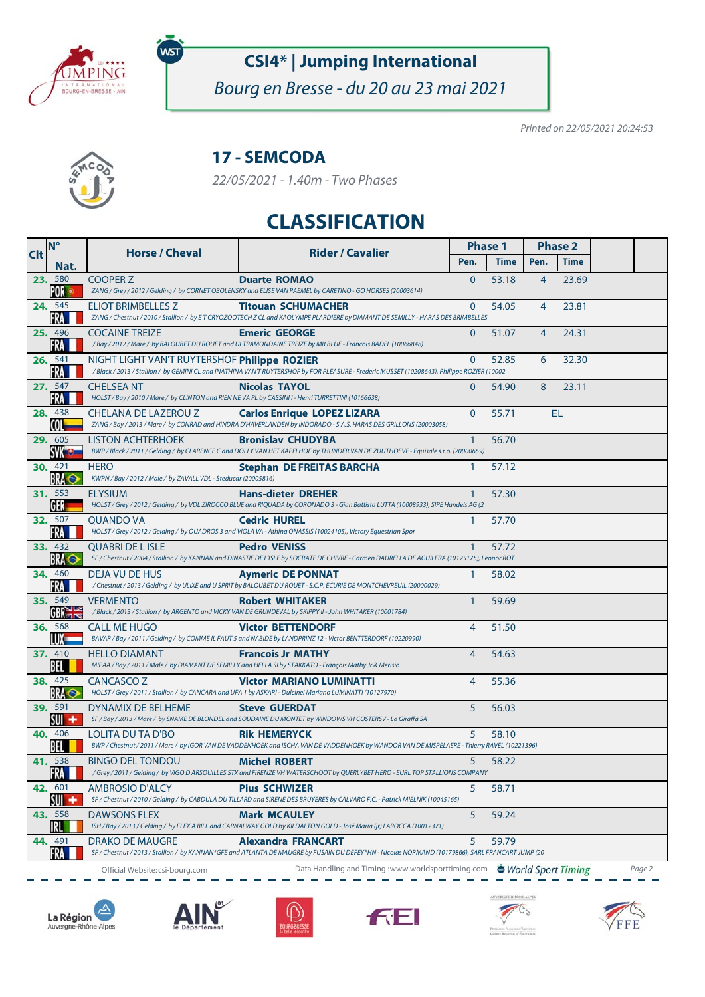

WST

# **CSI4\* | Jumping International**

Bourg en Bresse - du 20 au 23 mai 2021

Printed on 22/05/2021 20:24:53



### **17 - SEMCODA**

22/05/2021 - 1.40m - Two Phases

## **CLASSIFICATION**

| <b>Clt</b> | <b>N°</b>                    | <b>Horse / Cheval</b>                                                                                                    | <b>Rider / Cavalier</b>                                                                                                                                                       | <b>Phase 1</b> |             | <b>Phase 2</b> |                    |        |
|------------|------------------------------|--------------------------------------------------------------------------------------------------------------------------|-------------------------------------------------------------------------------------------------------------------------------------------------------------------------------|----------------|-------------|----------------|--------------------|--------|
|            | Nat.                         |                                                                                                                          |                                                                                                                                                                               | Pen.           | <b>Time</b> | Pen.           | <b>Time</b>        |        |
|            | 23. 580<br>POR ®             | <b>COOPER Z</b>                                                                                                          | <b>Duarte ROMAO</b><br>ZANG / Grey / 2012 / Gelding / by CORNET OBOLENSKY and ELISE VAN PAEMEL by CARETINO - GO HORSES (20003614)                                             | $\Omega$       | 53.18       | $\overline{4}$ | 23.69              |        |
|            | 24. 545<br><b>FRA</b>        | ELIOT BRIMBELLES Z                                                                                                       | <b>Titouan SCHUMACHER</b><br>ZANG / Chestnut / 2010 / Stallion / by ET CRYOZOOTECH Z CL and KAOLYMPE PLARDIERE by DIAMANT DE SEMILLY - HARAS DES BRIMBELLES                   | $\Omega$       | 54.05       | $\overline{4}$ | 23.81              |        |
|            | 25. 496<br>FRA               | <b>COCAINE TREIZE</b>                                                                                                    | <b>Emeric GEORGE</b><br>/ Bay / 2012 / Mare / by BALOUBET DU ROUET and ULTRAMONDAINE TREIZE by MR BLUE - Francois BADEL (10066848)                                            | $\Omega$       | 51.07       | 4              | 24.31              |        |
|            | 26. 541<br>FRA               | NIGHT LIGHT VAN'T RUYTERSHOF Philippe ROZIER                                                                             | /Black/2013/Stallion/ by GEMINI CL and INATHINA VAN'T RUYTERSHOF by FOR PLEASURE - Frederic MUSSET (10208643), Philippe ROZIER (10002                                         | $\Omega$       | 52.85       | 6              | 32.30              |        |
|            | 27. 547<br>FRA               | <b>CHELSEA NT</b><br>HOLST / Bay / 2010 / Mare / by CLINTON and RIEN NE VA PL by CASSINI I - Henri TURRETTINI (10166638) | <b>Nicolas TAYOL</b>                                                                                                                                                          | $\Omega$       | 54.90       | 8              | 23.11              |        |
|            | 28. 438<br>COL-              | CHELANA DE LAZEROU Z                                                                                                     | <b>Carlos Enrique LOPEZ LIZARA</b><br>ZANG / Bay / 2013 / Mare / by CONRAD and HINDRA D'HAVERLANDEN by INDORADO - S.A.S. HARAS DES GRILLONS (20003058)                        | $\Omega$       | 55.71       |                | EL                 |        |
|            | 29. 605<br><b>SVK OF</b>     | <b>LISTON ACHTERHOEK</b>                                                                                                 | <b>Bronislav CHUDYBA</b><br>BWP / Black / 2011 / Gelding / by CLARENCE C and DOLLY VAN HET KAPELHOF by THUNDER VAN DE ZUUTHOEVE - Equisale s.r.o. (20000659)                  | $\mathbf{1}$   | 56.70       |                |                    |        |
|            | <b>30.</b> 421<br><b>BRA</b> | <b>HERO</b><br>KWPN / Bay / 2012 / Male / by ZAVALL VDL - Steducar (20005816)                                            | <b>Stephan DE FREITAS BARCHA</b>                                                                                                                                              | 1              | 57.12       |                |                    |        |
|            | 31. 553<br><b>GER</b>        | <b>ELYSIUM</b>                                                                                                           | <b>Hans-dieter DREHER</b><br>HOLST / Grey / 2012 / Gelding / by VDL ZIROCCO BLUE and RIQUADA by CORONADO 3 - Gian Battista LUTTA (10008933), SIPE Handels AG (2               | $\mathbf{1}$   | 57.30       |                |                    |        |
|            | 32. 507<br><b>FRA</b>        | <b>OUANDO VA</b>                                                                                                         | <b>Cedric HUREL</b><br>HOLST / Grey / 2012 / Gelding / by QUADROS 3 and VIOLA VA - Athina ONASSIS (10024105), Victory Equestrian Spor                                         | 1              | 57.70       |                |                    |        |
|            | 33. 432<br><b>BRA</b>        | <b>OUABRI DE L ISLE</b>                                                                                                  | <b>Pedro VENISS</b><br>SF / Chestnut / 2004 / Stallion / by KANNAN and DINASTIE DE L'ISLE by SOCRATE DE CHIVRE - Carmen DAURELLA DE AGUILERA (10125175), Leonor ROT           | 1              | 57.72       |                |                    |        |
|            | <b>34.</b> 460<br>FRA        | <b>DEJA VU DE HUS</b>                                                                                                    | <b>Aymeric DE PONNAT</b><br>/ Chestnut / 2013 / Gelding / by ULIXE and U SPRIT by BALOUBET DU ROUET - S.C.P. ECURIE DE MONTCHEVREUIL (20000029)                               | 1              | 58.02       |                |                    |        |
|            | 35. 549<br>GBRE              | <b>VERMENTO</b>                                                                                                          | <b>Robert WHITAKER</b><br>/Black / 2013 / Stallion / by ARGENTO and VICKY VAN DE GRUNDEVAL by SKIPPY II - John WHITAKER (10001784)                                            | $\mathbf{1}$   | 59.69       |                |                    |        |
|            | <b>36.</b> 568<br>LUX —      | <b>CALL ME HUGO</b>                                                                                                      | <b>Victor BETTENDORF</b><br>BAVAR / Bay / 2011 / Gelding / by COMME IL FAUT 5 and NABIDE by LANDPRINZ 12 - Victor BENTTERDORF (10220990)                                      | $\overline{4}$ | 51.50       |                |                    |        |
|            | 37. 410<br><b>BEL</b>        | <b>HELLO DIAMANT</b>                                                                                                     | <b>Francois Jr MATHY</b><br>MIPAA / Bay / 2011 / Male / by DIAMANT DE SEMILLY and HELLA SI by STAKKATO - François Mathy Jr & Merisio                                          | $\overline{4}$ | 54.63       |                |                    |        |
|            | 38. 425<br><b>BRA</b>        | CANCASCO <sub>Z</sub>                                                                                                    | <b>Victor MARIANO LUMINATTI</b><br>HOLST / Grey / 2011 / Stallion / by CANCARA and UFA 1 by ASKARI - Dulcinei Mariano LUMINATTI (10127970)                                    | 4              | 55.36       |                |                    |        |
|            | 39. 591<br>$SW +$            | DYNAMIX DE BELHEME                                                                                                       | <b>Steve GUERDAT</b><br>SF / Bay / 2013 / Mare / by SNAIKE DE BLONDEL and SOUDAINE DU MONTET by WINDOWS VH COSTERSV - La Giraffa SA                                           | 5              | 56.03       |                |                    |        |
|            | 40. 406<br>BEL               | LOLITA DU TA D'BO                                                                                                        | <b>Rik HEMERYCK</b><br>BWP / Chestnut / 2011 / Mare / by IGOR VAN DE VADDENHOEK and ISCHA VAN DE VADDENHOEK by WANDOR VAN DE MISPELAERE - Thierry RAVEL (10221396)            | 5              | 58.10       |                |                    |        |
|            | 41. 538<br>FRA I             | <b>BINGO DEL TONDOU</b>                                                                                                  | <b>Michel ROBERT</b><br>/Grey/2011/Gelding/byVIGODARSOUILLES STX and FIRENZEVHWATERSCHOOT by QUERLYBETHERO-EURLTOP STALLIONS COMPANY                                          | 5              | 58.22       |                |                    |        |
|            | 42. 601<br>$\frac{1}{2}$     | AMBROSIO D'ALCY                                                                                                          | <b>Pius SCHWIZER</b><br>SF / Chestnut / 2010 / Gelding / by CABDULA DU TILLARD and SIRENE DES BRUYERES by CALVARO F.C. - Patrick MIELNIK (10045165)                           | 5              | 58.71       |                |                    |        |
|            | 43. 558<br>IRL               | <b>DAWSONS FLEX</b>                                                                                                      | <b>Mark MCAULEY</b><br>ISH / Bay / 2013 / Gelding / by FLEX A BILL and CARNALWAY GOLD by KILDALTON GOLD - José María (jr) LAROCCA (10012371)                                  | 5              | 59.24       |                |                    |        |
|            | 44. 491<br>FRA               | <b>DRAKO DE MAUGRE</b>                                                                                                   | <b>Alexandra FRANCART</b><br>SF / Chestnut / 2013 / Stallion / by KANNAN*GFE and ATLANTA DE MAUGRE by FUSAIN DU DEFEY*HN - Nicolas NORMAND (10179866), SARL FRANCART JUMP (20 | 5              | 59.79       |                |                    |        |
|            |                              | Official Website: csi-bourg.com                                                                                          | Data Handling and Timing :www.worldsporttiming.com                                                                                                                            |                |             |                | World Sport Timing | Page 2 |